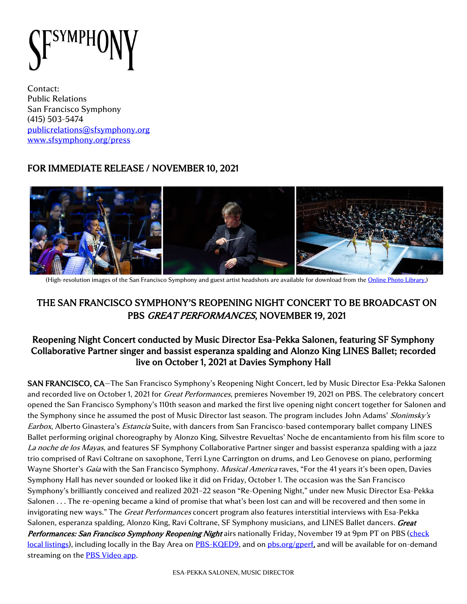# symph

Contact: Public Relations San Francisco Symphony (415) 503-5474 [publicrelations@sfsymphony.org](mailto:publicrelations@sfsymphony.org) [www.sfsymphony.org/press](http://www.sfsymphony.org/press)

# FOR IMMEDIATE RELEASE / NOVEMBER 10, 2021



(High-resolution images of the San Francisco Symphony and guest artist headshots are available for download from th[e Online Photo](https://www.sfsymphony.org/About-SFS/Press-Room/Photo-Library) Library.)

# THE SAN FRANCISCO SYMPHONY'S REOPENING NIGHT CONCERT TO BE BROADCAST ON PBS GREAT PERFORMANCES, NOVEMBER 19, 2021

## Reopening Night Concert conducted by Music Director Esa-Pekka Salonen, featuring SF Symphony Collaborative Partner singer and bassist esperanza spalding and Alonzo King LINES Ballet; recorded live on October 1, 2021 at Davies Symphony Hall

SAN FRANCISCO, CA—The San Francisco Symphony's Reopening Night Concert, led by Music Director Esa-Pekka Salonen and recorded live on October 1, 2021 for *Great Performances*, premieres November 19, 2021 on PBS. The celebratory concert opened the San Francisco Symphony's 110th season and marked the first live opening night concert together for Salonen and the Symphony since he assumed the post of Music Director last season. The program includes John Adams' Slonimsky's Earbox, Alberto Ginastera's Estancia Suite, with dancers from San Francisco-based contemporary ballet company LINES Ballet performing original choreography by Alonzo King, Silvestre Revueltas' Noche de encantamiento from his film score to La noche de los Mayas, and features SF Symphony Collaborative Partner singer and bassist esperanza spalding with a jazz trio comprised of Ravi Coltrane on saxophone, Terri Lyne Carrington on drums, and Leo Genovese on piano, performing Wayne Shorter's Gaia with the San Francisco Symphony. Musical America raves, "For the 41 years it's been open, Davies Symphony Hall has never sounded or looked like it did on Friday, October 1. The occasion was the San Francisco Symphony's brilliantly conceived and realized 2021–22 season "Re-Opening Night," under new Music Director Esa-Pekka Salonen . . . The re-opening became a kind of promise that what's been lost can and will be recovered and then some in invigorating new ways." The Great Performances concert program also features interstitial interviews with Esa-Pekka Salonen, esperanza spalding, Alonzo King, Ravi Coltrane, SF Symphony musicians, and LINES Ballet dancers. Great Performances: San Francisco Symphony Reopening Night airs nationally Friday, November 19 at 9pm PT on PBS (check [local listings\)](http://www.pbs.org/tv_schedules), including locally in the Bay Area on [PBS-KQED9,](https://www.kqed.org/tv/schedules/daily) and on [pbs.org/gperf,](https://www.pbs.org/wnet/gperf/) and will be available for on-demand streaming on the **PBS** Video app.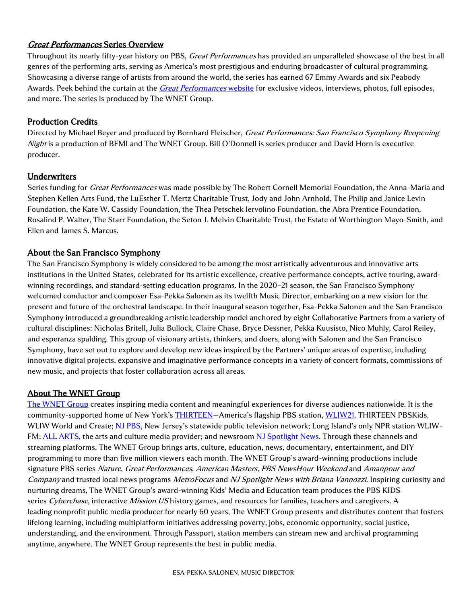### Great Performances Series Overview

Throughout its nearly fifty-year history on PBS, *Great Performances* has provided an unparalleled showcase of the best in all genres of the performing arts, serving as America's most prestigious and enduring broadcaster of cultural programming. Showcasing a diverse range of artists from around the world, the series has earned 67 Emmy Awards and six Peabody Awards. Peek behind the curtain at the *[Great Performances](https://www.pbs.org/wnet/gperf/)* website for exclusive videos, interviews, photos, full episodes, and more. The series is produced by The WNET Group.

### Production Credits

Directed by Michael Beyer and produced by Bernhard Fleischer, Great Performances: San Francisco Symphony Reopening Night is a production of BFMI and The WNET Group. Bill O'Donnell is series producer and David Horn is executive producer.

### **Underwriters**

Series funding for Great Performances was made possible by The Robert Cornell Memorial Foundation, the Anna-Maria and Stephen Kellen Arts Fund, the LuEsther T. Mertz Charitable Trust, Jody and John Arnhold, The Philip and Janice Levin Foundation, the Kate W. Cassidy Foundation, the Thea Petschek Iervolino Foundation, the Abra Prentice Foundation, Rosalind P. Walter, The Starr Foundation, the Seton J. Melvin Charitable Trust, the Estate of Worthington Mayo-Smith, and Ellen and James S. Marcus.

### About the San Francisco Symphony

The San Francisco Symphony is widely considered to be among the most artistically adventurous and innovative arts institutions in the United States, celebrated for its artistic excellence, creative performance concepts, active touring, awardwinning recordings, and standard-setting education programs. In the 2020–21 season, the San Francisco Symphony welcomed conductor and composer Esa-Pekka Salonen as its twelfth Music Director, embarking on a new vision for the present and future of the orchestral landscape. In their inaugural season together, Esa-Pekka Salonen and the San Francisco Symphony introduced a groundbreaking artistic leadership model anchored by eight Collaborative Partners from a variety of cultural disciplines: Nicholas Britell, Julia Bullock, Claire Chase, Bryce Dessner, Pekka Kuusisto, Nico Muhly, Carol Reiley, and esperanza spalding. This group of visionary artists, thinkers, and doers, along with Salonen and the San Francisco Symphony, have set out to explore and develop new ideas inspired by the Partners' unique areas of expertise, including innovative digital projects, expansive and imaginative performance concepts in a variety of concert formats, commissions of new music, and projects that foster collaboration across all areas.

### About The WNET Group

[The WNET Group](http://wnet.org/) creates inspiring media content and meaningful experiences for diverse audiences nationwide. It is the community-supported home of New York's [THIRTEEN](http://thirteen.org/)-America's flagship PBS station[, WLIW21,](http://wliw.org/) THIRTEEN PBSKids, WLIW World and Create; [NJ PBS,](https://www.mynjpbs.org/) New Jersey's statewide public television network; Long Island's only NPR station WLIW-FM; [ALL ARTS,](http://allarts.org/) the arts and culture media provider; and newsroom [NJ Spotlight News.](https://www.njspotlightnews.org/) Through these channels and streaming platforms, The WNET Group brings arts, culture, education, news, documentary, entertainment, and DIY programming to more than five million viewers each month. The WNET Group's award-winning productions include signature PBS series Nature, Great Performances, American Masters, PBS NewsHour Weekend and Amanpour and Company and trusted local news programs MetroFocus and NJ Spotlight News with Briana Vannozzi. Inspiring curiosity and nurturing dreams, The WNET Group's award-winning Kids' Media and Education team produces the PBS KIDS series Cyberchase, interactive *Mission US* history games, and resources for families, teachers and caregivers. A leading nonprofit public media producer for nearly 60 years, The WNET Group presents and distributes content that fosters lifelong learning, including multiplatform initiatives addressing poverty, jobs, economic opportunity, social justice, understanding, and the environment. Through Passport, station members can stream new and archival programming anytime, anywhere. The WNET Group represents the best in public media.